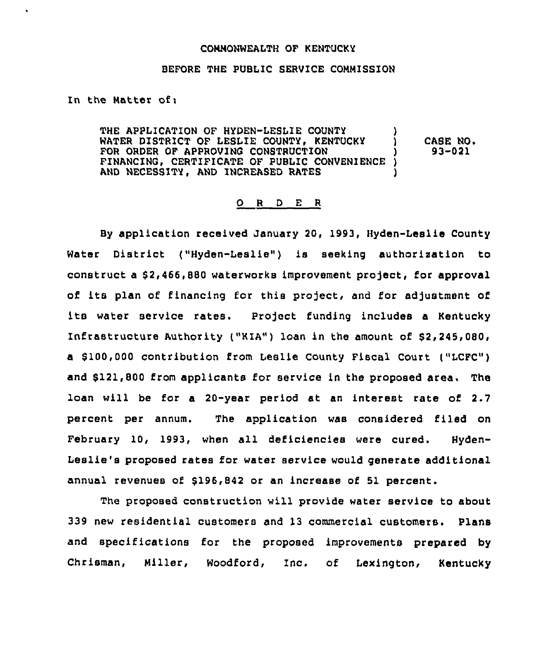#### COMMONWEALTH OF KENTUCKY

### BEFORE THE PUBLIC SERVICE COMMISSION

In the Matter of:

 $\hat{\textbf{z}}$ 

THE APPLICATION OF HYDEN-LESLIE COUNTY WATER DISTRICT OF LESLIE COUNTY, KENTUCKY FOR ORDER OF APPROVING CONSTRUCTION FINANCING, CERTIFICATE OF PUBLIC CONVENIENCE ) AND NECESSITY, AND INCREASED RATES CASE NO+ 93-021

## ORDER

By application received January 20, 1993, Hyden-Leslie County Water District ("Hyden-Leslie") is seeking authorisation to construct a \$2,466,880 waterworks improvement project, for approval of its plan of financing for this project, and for adjustment of water service rates. Project funding includes a Kentucky Infrastructure Authority ("KIA") loan in the amount of \$2,245,080, a \$ 100,000 contribution from Leslie County Fiscal Court ("LCFC") and \$121,800 from applicants for service in the proposed area. The loan will be for a 20-year period at an interest rate of 2.7 percent per annum. The application was considered filed on February 10, 1993, when all deficiencies were cured. Hyden-Leslie's proposed rates for water service would generate additional annual revenues of \$196,842 or an increase of 51 percent.

The proposed construction will provide water service to about 339 new residential customers and 13 commercial customers. Plans and specifications for the proposed improvements prepared by Chrisman, Miller, Woodford, Inc. of Lexington, Kentucky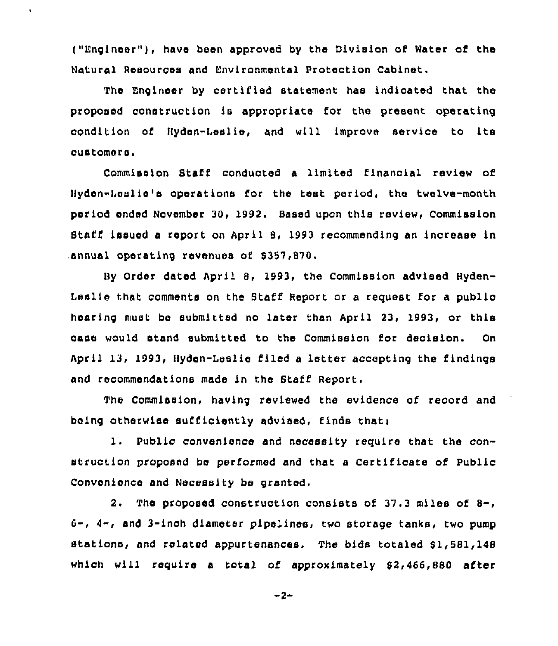("Engineer"), have been approved by the Division of Water of the Natural Aesources and Environmental Protection Cabinet.

 $\ddot{\phantom{a}}$ 

The Engineer by certified statement has indicated that the proposed construction is appropriate for the present operating condition of Byden-Leslie, and will improve service to its customers.

Commission Staff conducted a limited financial review of Bydsn-Leslie's operations for the test period, the twelve-month period ended November 30, 1992, Based upon this review, Commission Staff issued a report on April 8, 1993 recommending an increase in annual operating revenues of 8357,870.

By Order dated April 8, 1993, the Commission advised Hyden-Leslie that comments on the Staff Report or a request for a public hearing must be submitted no later than April 23, 1993, or this case would stand submitted to the Commission for decision. On April 13, 1993, Hyden-Leslie filed a letter accepting the findings and recommendations made in the Staff Report.

The Commission, having reviewed the evidence of record and being otherwise sufficiently advised, finds thati

1, Public convenience and necessity require that the construction proposed be performed and that a certificate of public Convenience and Necessity be granted.

2. The proposed construction consists of 37.3 mlles of 8-, 6-, 4-, and 3-inch diameter pipelines, two storage tanks, two pump stations, and related appurtenances. The bids totaled \$1,581,148 which will require a total of approximately 92,466,880 after

 $-2-$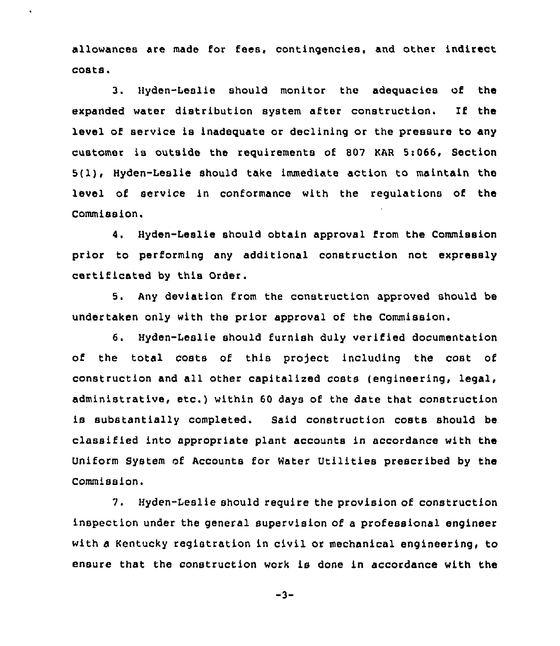allowances are made for fees, contingencies, and other indirect costs.

3. Hyden-Leslie should monitor the adequacies of the expanded water distribution system after construction. If the level of service is inadequate or declining or the pressure to any customer is outside the requirements of 807 MR 5i066, Section 5(l), Hyden-Leslie should take immediate action to maintain the level of service in conformance with the regulations of the Commission.

4. Hyden-Leslie should obtain approval from the Commission prior to performing any additional construction not expressly certificated by this Order.

5. Any deviation from the construction approved should be undertaken only with the prior approval of the Commission.

6. Hyden-Leslie should furnish duly verified documentation of the total costs of this project including the cost of construction and all other capitalized costs (engineering, legal, administrative, etc.) within <sup>60</sup> days of the date that construction is substantially completed. Said construction costs should be classified into appropriate plant accounts in accordance with the Uniform System of Accounts for Water Utilities prescribed by the Commission.

7. Hyden-Leslie should require the provision of construction inspection under the general supervision of a professional engineer with a Kentucky registration in civil or mechanical engineering, to ensure that the construction work is done in accordance with the

 $-3-$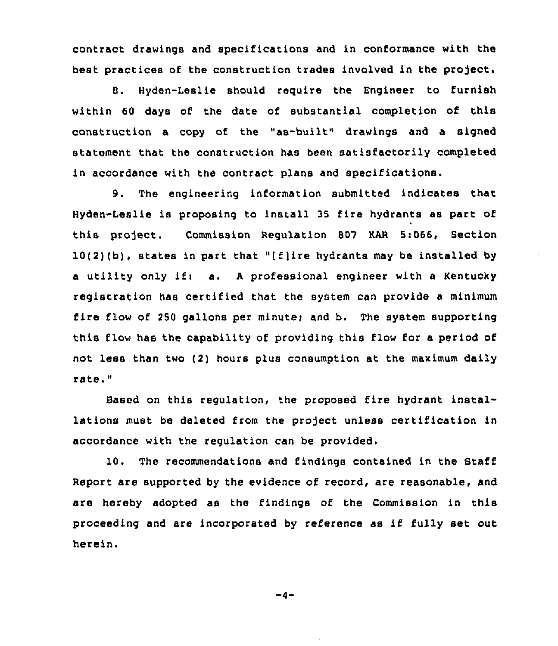contract drawings and specifications and in conformance with the best practices of the construction trades involved in the project.

8. Hyden-Leslie should require the Engineer to furnish within 60 days of the date of substantial completion of this construction a copy of the "as-built" drawings and a signed statement that the construction has been satisfactorily completed in accordance with the contract plans and specifications.

9. The engineering information submitted indicates that Hyden-Leslie is proposing to install 35 fire hydrants as part of this project. Commission Regulation 807 KAR 5:066, Section 10(2)(b), states in part that "(f)ire hydrants may be installed by a utility only if: a. A professional engineer with a Kentucky registration has certified that the system can provide a minimum fire flow of 250 gallons per minute; and b. The system supporting this flow has the capability of providing this flow for a period of not less than two (2) hours plus consumption at the maximum daily rate."

Based on this regulation, the proposed fire hydrant installations must be deleted from the project unless certification in accordance with the regulation can be provided.

10. The recommendations and findings contained in the Staff Report are supported by the evidence of record, are reasonable, and are hereby adopted as the findings of the Commission in this proceeding and are incorporated by reference as if fully set out herein.

 $-4-$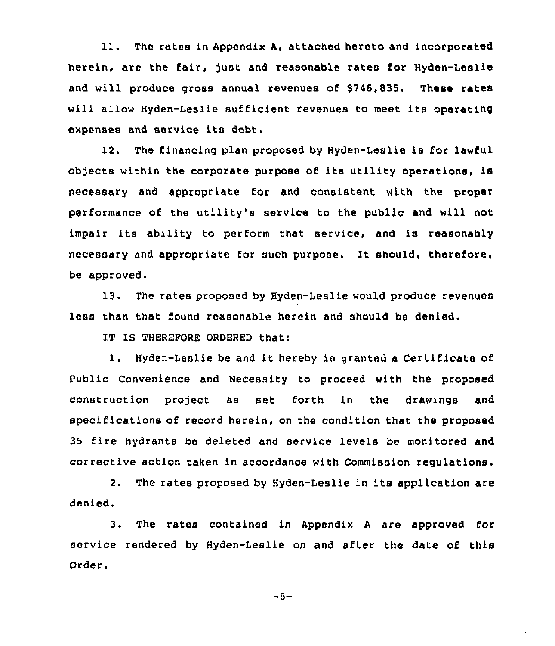11. The rates in Appendix A, attached hereto and incorporated herein, are the fair, just and reasonable rates for Hyden-Leslie and will produce gross annual revenues of \$746,835. These rates will allow Hyden-Leslie sufficient revenues to meet its operating expenses and service its debt.

12. The financing plan proposed by Hyden-Leslie is for lawful objects within the corporate purpose of its utility operations, is necessary and appropriate for and consistent with the proper performance of the utility's service to the public and will not impair its ability to perform that service, and is reasonably necessary and appropriate for such purpose. It should, therefore< be approved.

13. The rates proposed by Hyden-Leslie would produce revenues less than that found reasonable herein and should be denied.

IT IS THEREFORE ORDERED that:

1. Hyden-Leslie be and it hereby is granted <sup>a</sup> Certificate of Public Convenience and Necessity to proceed with the proposed construction project as set forth in the drawings and specifications of record herein, on the condition that the proposed 35 fire hydrants be deleted and service levels be monitored and corrective action taken in accordance with Commission regulations.

2. The rates proposed by Hyden-Leslie in its application are denied.

3. The rates contained in Appendix <sup>A</sup> are approved for service rendered by Hyden-Leslie on and after the date of this Order.

 $-5-$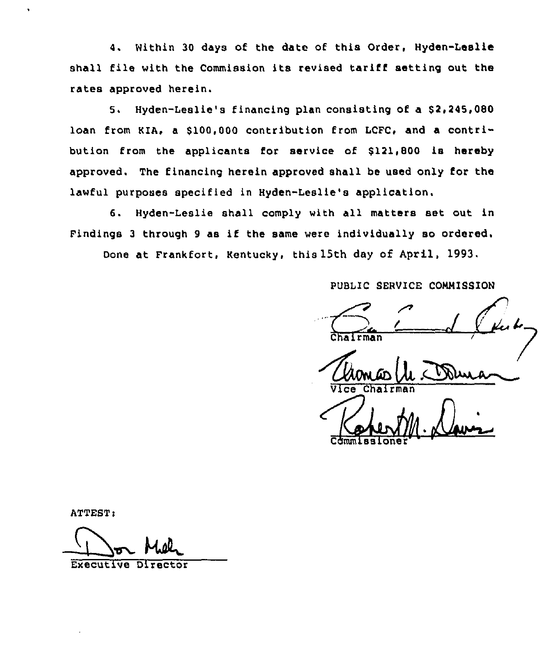4. Within 30 days of the date of this Order, Hyden-Leslie shall file with the Commission its revised tariff setting out the rates approved herein.

5. Hyden-Leslie's financing plan consisting of a \$2,245,080 loan from KIA, a \$100,000 contribution from LCFC, and a contribution from the applicants for service of \$121,800 is hereby approved. The financing herein approved shall be used only for the lawful purposes specified in Hyden-Leslie's application.

6. Hyden-Leslie shall comply with all matters set out in Findings <sup>3</sup> through <sup>9</sup> as if the same were individually so ordered.

Done at Frankfort, Kentucky, this 15th day of April, 1993,

PUBLIC SERVICE COMMISSION

Commissione

! Vice Chairma

ATTEST:

Executive Director